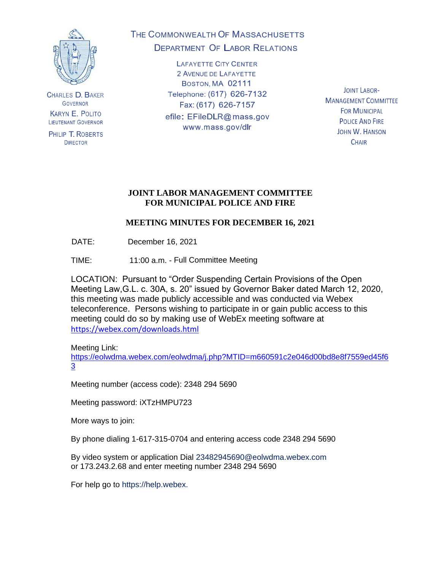

**CHARLES D. BAKER GOVERNOR KARYN E. POLITO LIEUTENANT GOVERNOR** 

PHILIP T. ROBERTS **DIRECTOR** 

# THE COMMONWEALTH OF MASSACHUSETTS **DEPARTMENT OF LABOR RELATIONS**

**LAFAYETTE CITY CENTER** 2 AVENUE DE LAFAYETTE BOSTON, MA 02111 Telephone: (617) 626-7132 Fax: (617) 626-7157 efile: EFileDLR@mass.gov www.mass.gov/dlr

**JOINT LABOR-MANAGEMENT COMMITTEE FOR MUNICIPAL POLICE AND FIRE JOHN W. HANSON CHAIR** 

### **JOINT LABOR MANAGEMENT COMMITTEE FOR MUNICIPAL POLICE AND FIRE**

# **MEETING MINUTES FOR DECEMBER 16, 2021**

DATE: December 16, 2021

TIME: 11:00 a.m. - Full Committee Meeting

LOCATION: Pursuant to "Order Suspending Certain Provisions of the Open Meeting Law,G.L. c. 30A, s. 20" issued by Governor Baker dated March 12, 2020, this meeting was made publicly accessible and was conducted via Webex teleconference. Persons wishing to participate in or gain public access to this meeting could do so by making use of WebEx meeting software at <https://webex.com/downloads.html>

Meeting Link: [https://eolwdma.webex.com/eolwdma/j.php?MTID=m660591c2e046d00bd8e8f7559ed45f6](https://eolwdma.webex.com/eolwdma/j.php?MTID=m660591c2e046d00bd8e8f7559ed45f63) [3](https://eolwdma.webex.com/eolwdma/j.php?MTID=m660591c2e046d00bd8e8f7559ed45f63)

Meeting number (access code): 2348 294 5690

Meeting password: iXTzHMPU723

More ways to join:

By phone dialing 1-617-315-0704 and entering access code 2348 294 5690

By video system or application Dial 23482945690@eolwdma.webex.com or 173.243.2.68 and enter meeting number 2348 294 5690

For help go to https://help.webex.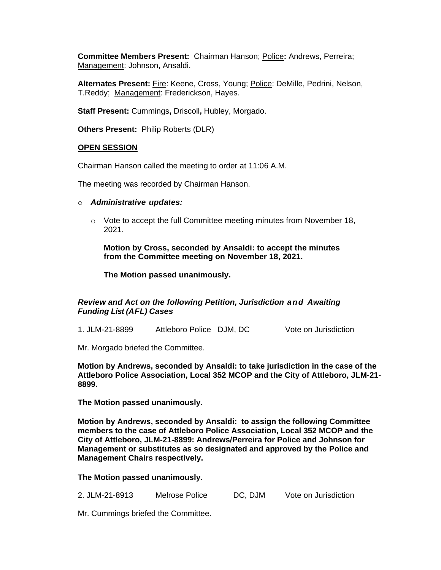**Committee Members Present:** Chairman Hanson; Police**:** Andrews, Perreira; Management: Johnson, Ansaldi.

**Alternates Present:** Fire: Keene, Cross, Young; Police: DeMille, Pedrini, Nelson, T.Reddy; Management: Frederickson, Hayes.

**Staff Present:** Cummings**,** Driscoll**,** Hubley, Morgado.

**Others Present:** Philip Roberts (DLR)

### **OPEN SESSION**

Chairman Hanson called the meeting to order at 11:06 A.M.

The meeting was recorded by Chairman Hanson.

- o *Administrative updates:*
	- $\circ$  Vote to accept the full Committee meeting minutes from November 18, 2021.

**Motion by Cross, seconded by Ansaldi: to accept the minutes from the Committee meeting on November 18, 2021.**

**The Motion passed unanimously.**

### *Review and Act on the following Petition, Jurisdiction and Awaiting Funding List (AFL) Cases*

1. JLM-21-8899 Attleboro Police DJM, DC Vote on Jurisdiction

Mr. Morgado briefed the Committee.

**Motion by Andrews, seconded by Ansaldi: to take jurisdiction in the case of the Attleboro Police Association, Local 352 MCOP and the City of Attleboro, JLM-21- 8899.**

**The Motion passed unanimously.**

**Motion by Andrews, seconded by Ansaldi: to assign the following Committee members to the case of Attleboro Police Association, Local 352 MCOP and the City of Attleboro, JLM-21-8899: Andrews/Perreira for Police and Johnson for Management or substitutes as so designated and approved by the Police and Management Chairs respectively.**

#### **The Motion passed unanimously.**

2. JLM-21-8913 Melrose Police DC, DJM Vote on Jurisdiction

Mr. Cummings briefed the Committee.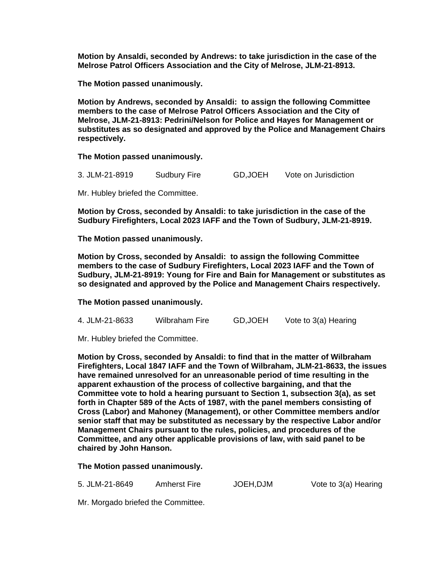**Motion by Ansaldi, seconded by Andrews: to take jurisdiction in the case of the Melrose Patrol Officers Association and the City of Melrose, JLM-21-8913.**

**The Motion passed unanimously.**

**Motion by Andrews, seconded by Ansaldi: to assign the following Committee members to the case of Melrose Patrol Officers Association and the City of Melrose, JLM-21-8913: Pedrini/Nelson for Police and Hayes for Management or substitutes as so designated and approved by the Police and Management Chairs respectively.**

**The Motion passed unanimously.**

3. JLM-21-8919 Sudbury Fire GD,JOEH Vote on Jurisdiction

Mr. Hubley briefed the Committee.

**Motion by Cross, seconded by Ansaldi: to take jurisdiction in the case of the Sudbury Firefighters, Local 2023 IAFF and the Town of Sudbury, JLM-21-8919.**

**The Motion passed unanimously.**

**Motion by Cross, seconded by Ansaldi: to assign the following Committee members to the case of Sudbury Firefighters, Local 2023 IAFF and the Town of Sudbury, JLM-21-8919: Young for Fire and Bain for Management or substitutes as so designated and approved by the Police and Management Chairs respectively.**

**The Motion passed unanimously.**

4. JLM-21-8633 Wilbraham Fire GD,JOEH Vote to 3(a) Hearing

Mr. Hubley briefed the Committee.

**Motion by Cross, seconded by Ansaldi: to find that in the matter of Wilbraham Firefighters, Local 1847 IAFF and the Town of Wilbraham, JLM-21-8633, the issues have remained unresolved for an unreasonable period of time resulting in the apparent exhaustion of the process of collective bargaining, and that the Committee vote to hold a hearing pursuant to Section 1, subsection 3(a), as set forth in Chapter 589 of the Acts of 1987, with the panel members consisting of Cross (Labor) and Mahoney (Management), or other Committee members and/or senior staff that may be substituted as necessary by the respective Labor and/or Management Chairs pursuant to the rules, policies, and procedures of the Committee, and any other applicable provisions of law, with said panel to be chaired by John Hanson.**

**The Motion passed unanimously.**

5. JLM-21-8649 Amherst Fire JOEH,DJM Vote to 3(a) Hearing

Mr. Morgado briefed the Committee.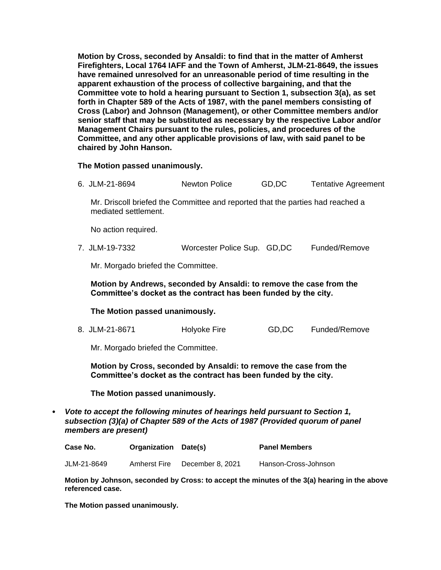**Motion by Cross, seconded by Ansaldi: to find that in the matter of Amherst Firefighters, Local 1764 IAFF and the Town of Amherst, JLM-21-8649, the issues have remained unresolved for an unreasonable period of time resulting in the apparent exhaustion of the process of collective bargaining, and that the Committee vote to hold a hearing pursuant to Section 1, subsection 3(a), as set forth in Chapter 589 of the Acts of 1987, with the panel members consisting of Cross (Labor) and Johnson (Management), or other Committee members and/or senior staff that may be substituted as necessary by the respective Labor and/or Management Chairs pursuant to the rules, policies, and procedures of the Committee, and any other applicable provisions of law, with said panel to be chaired by John Hanson.**

**The Motion passed unanimously.**

6. JLM-21-8694 Newton Police GD,DC Tentative Agreement

Mr. Driscoll briefed the Committee and reported that the parties had reached a mediated settlement.

No action required.

7. JLM-19-7332 Worcester Police Sup. GD,DC Funded/Remove

Mr. Morgado briefed the Committee.

**Motion by Andrews, seconded by Ansaldi: to remove the case from the Committee's docket as the contract has been funded by the city.**

**The Motion passed unanimously.**

8. JLM-21-8671 Holyoke Fire GD,DC Funded/Remove

Mr. Morgado briefed the Committee.

**Motion by Cross, seconded by Ansaldi: to remove the case from the Committee's docket as the contract has been funded by the city.**

**The Motion passed unanimously.**

• *Vote to accept the following minutes of hearings held pursuant to Section 1, subsection (3)(a) of Chapter 589 of the Acts of 1987 (Provided quorum of panel members are present)*

| Case No. | <b>Organization Date(s)</b> | <b>Panel Members</b> |
|----------|-----------------------------|----------------------|
|          |                             |                      |

JLM-21-8649 Amherst Fire December 8, 2021 Hanson-Cross-Johnson

**Motion by Johnson, seconded by Cross: to accept the minutes of the 3(a) hearing in the above referenced case.**

**The Motion passed unanimously.**